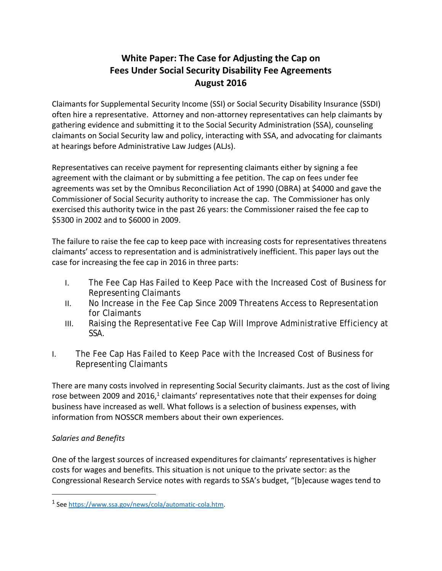# **White Paper: The Case for Adjusting the Cap on Fees Under Social Security Disability Fee Agreements August 2016**

Claimants for Supplemental Security Income (SSI) or Social Security Disability Insurance (SSDI) often hire a representative. Attorney and non-attorney representatives can help claimants by gathering evidence and submitting it to the Social Security Administration (SSA), counseling claimants on Social Security law and policy, interacting with SSA, and advocating for claimants at hearings before Administrative Law Judges (ALJs).

Representatives can receive payment for representing claimants either by signing a fee agreement with the claimant or by submitting a fee petition. The cap on fees under fee agreements was set by the Omnibus Reconciliation Act of 1990 (OBRA) at \$4000 and gave the Commissioner of Social Security authority to increase the cap. The Commissioner has only exercised this authority twice in the past 26 years: the Commissioner raised the fee cap to \$5300 in 2002 and to \$6000 in 2009.

The failure to raise the fee cap to keep pace with increasing costs for representatives threatens claimants' access to representation and is administratively inefficient. This paper lays out the case for increasing the fee cap in 2016 in three parts:

- I. The Fee Cap Has Failed to Keep Pace with the Increased Cost of Business for Representing Claimants
- II. No Increase in the Fee Cap Since 2009 Threatens Access to Representation for Claimants
- III. Raising the Representative Fee Cap Will Improve Administrative Efficiency at SSA.
- I. The Fee Cap Has Failed to Keep Pace with the Increased Cost of Business for Representing Claimants

There are many costs involved in representing Social Security claimants. Just as the cost of living rose between 2009 and 2016, $1$  claimants' representatives note that their expenses for doing business have increased as well. What follows is a selection of business expenses, with information from NOSSCR members about their own experiences.

# *Salaries and Benefits*

 $\overline{a}$ 

One of the largest sources of increased expenditures for claimants' representatives is higher costs for wages and benefits. This situation is not unique to the private sector: as the Congressional Research Service notes with regards to SSA's budget, "[b]ecause wages tend to

<sup>1</sup> See [https://www.ssa.gov/news/cola/automatic-cola.htm.](https://www.ssa.gov/news/cola/automatic-cola.htm)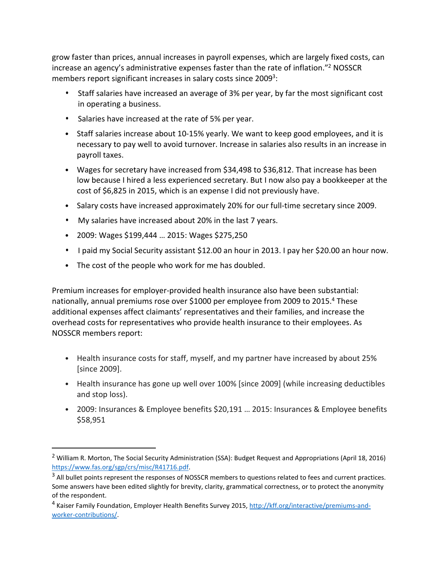grow faster than prices, annual increases in payroll expenses, which are largely fixed costs, can increase an agency's administrative expenses faster than the rate of inflation."2 NOSSCR members report significant increases in salary costs since 2009<sup>3</sup>:

- Staff salaries have increased an average of 3% per year, by far the most significant cost in operating a business.
- Salaries have increased at the rate of 5% per year.
- Staff salaries increase about 10-15% yearly. We want to keep good employees, and it is necessary to pay well to avoid turnover. Increase in salaries also results in an increase in payroll taxes.
- Wages for secretary have increased from \$34,498 to \$36,812. That increase has been low because I hired a less experienced secretary. But I now also pay a bookkeeper at the cost of \$6,825 in 2015, which is an expense I did not previously have.
- Salary costs have increased approximately 20% for our full-time secretary since 2009.
- My salaries have increased about 20% in the last 7 years.
- 2009: Wages \$199,444 … 2015: Wages \$275,250

 $\overline{a}$ 

- I paid my Social Security assistant \$12.00 an hour in 2013. I pay her \$20.00 an hour now.
- The cost of the people who work for me has doubled.

Premium increases for employer-provided health insurance also have been substantial: nationally, annual premiums rose over \$1000 per employee from 2009 to 2015.<sup>4</sup> These additional expenses affect claimants' representatives and their families, and increase the overhead costs for representatives who provide health insurance to their employees. As NOSSCR members report:

- Health insurance costs for staff, myself, and my partner have increased by about 25% [since 2009].
- Health insurance has gone up well over 100% [since 2009] (while increasing deductibles and stop loss).
- 2009: Insurances & Employee benefits \$20,191 … 2015: Insurances & Employee benefits \$58,951

<sup>&</sup>lt;sup>2</sup> William R. Morton, The Social Security Administration (SSA): Budget Request and Appropriations (April 18, 2016) [https://www.fas.org/sgp/crs/misc/R41716.pdf.](https://www.fas.org/sgp/crs/misc/R41716.pdf)

<sup>&</sup>lt;sup>3</sup> All bullet points represent the responses of NOSSCR members to questions related to fees and current practices. Some answers have been edited slightly for brevity, clarity, grammatical correctness, or to protect the anonymity of the respondent.

<sup>4</sup> Kaiser Family Foundation, Employer Health Benefits Survey 2015, [http://kff.org/interactive/premiums-and](http://kff.org/interactive/premiums-and-worker-contributions/)[worker-contributions/.](http://kff.org/interactive/premiums-and-worker-contributions/)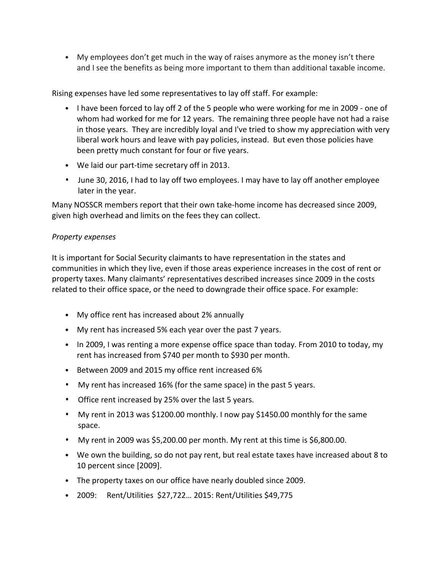• My employees don't get much in the way of raises anymore as the money isn't there and I see the benefits as being more important to them than additional taxable income.

Rising expenses have led some representatives to lay off staff. For example:

- I have been forced to lay off 2 of the 5 people who were working for me in 2009 one of whom had worked for me for 12 years. The remaining three people have not had a raise in those years. They are incredibly loyal and I've tried to show my appreciation with very liberal work hours and leave with pay policies, instead. But even those policies have been pretty much constant for four or five years.
- We laid our part-time secretary off in 2013.
- June 30, 2016, I had to lay off two employees. I may have to lay off another employee later in the year.

Many NOSSCR members report that their own take-home income has decreased since 2009, given high overhead and limits on the fees they can collect.

#### *Property expenses*

It is important for Social Security claimants to have representation in the states and communities in which they live, even if those areas experience increases in the cost of rent or property taxes. Many claimants' representatives described increases since 2009 in the costs related to their office space, or the need to downgrade their office space. For example:

- My office rent has increased about 2% annually
- My rent has increased 5% each year over the past 7 years.
- In 2009, I was renting a more expense office space than today. From 2010 to today, my rent has increased from \$740 per month to \$930 per month.
- Between 2009 and 2015 my office rent increased 6%
- My rent has increased 16% (for the same space) in the past 5 years.
- Office rent increased by 25% over the last 5 years.
- My rent in 2013 was \$1200.00 monthly. I now pay \$1450.00 monthly for the same space.
- My rent in 2009 was \$5,200.00 per month. My rent at this time is \$6,800.00.
- We own the building, so do not pay rent, but real estate taxes have increased about 8 to 10 percent since [2009].
- The property taxes on our office have nearly doubled since 2009.
- 2009: Rent/Utilities \$27,722… 2015: Rent/Utilities \$49,775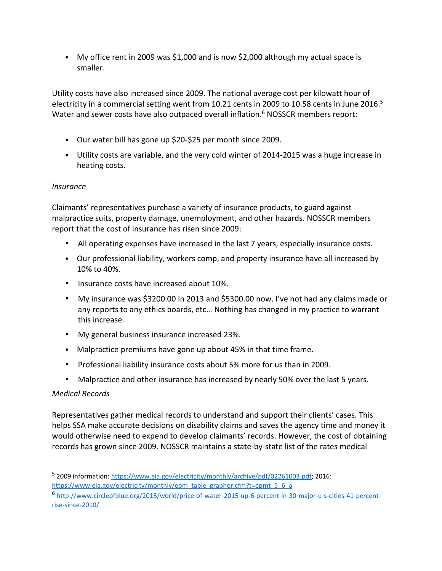• My office rent in 2009 was \$1,000 and is now \$2,000 although my actual space is smaller.

Utility costs have also increased since 2009. The national average cost per kilowatt hour of electricity in a commercial setting went from 10.21 cents in 2009 to 10.58 cents in June 2016.<sup>5</sup> Water and sewer costs have also outpaced overall inflation.<sup>6</sup> NOSSCR members report:

- Our water bill has gone up \$20-\$25 per month since 2009.
- Utility costs are variable, and the very cold winter of 2014-2015 was a huge increase in heating costs.

## *Insurance*

Claimants' representatives purchase a variety of insurance products, to guard against malpractice suits, property damage, unemployment, and other hazards. NOSSCR members report that the cost of insurance has risen since 2009:

- All operating expenses have increased in the last 7 years, especially insurance costs.
- Our professional liability, workers comp, and property insurance have all increased by 10% to 40%.
- Insurance costs have increased about 10%.
- My insurance was \$3200.00 in 2013 and \$5300.00 now. I've not had any claims made or any reports to any ethics boards, etc… Nothing has changed in my practice to warrant this increase.
- My general business insurance increased 23%.
- Malpractice premiums have gone up about 45% in that time frame.
- Professional liability insurance costs about 5% more for us than in 2009.
- Malpractice and other insurance has increased by nearly 50% over the last 5 years.

## *Medical Records*

 $\overline{a}$ 

Representatives gather medical records to understand and support their clients' cases. This helps SSA make accurate decisions on disability claims and saves the agency time and money it would otherwise need to expend to develop claimants' records. However, the cost of obtaining records has grown since 2009. NOSSCR maintains a state-by-state list of the rates medical

<sup>5</sup> 2009 information: [https://www.eia.gov/electricity/monthly/archive/pdf/02261003.pdf;](https://www.eia.gov/electricity/monthly/archive/pdf/02261003.pdf) 2016:

[https://www.eia.gov/electricity/monthly/epm\\_table\\_grapher.cfm?t=epmt\\_5\\_6\\_a](https://www.eia.gov/electricity/monthly/epm_table_grapher.cfm?t=epmt_5_6_a)

<sup>6</sup> [http://www.circleofblue.org/2015/world/price-of-water-2015-up-6-percent-in-30-major-u-s-cities-41-percent](http://www.circleofblue.org/2015/world/price-of-water-2015-up-6-percent-in-30-major-u-s-cities-41-percent-rise-since-2010/)[rise-since-2010/](http://www.circleofblue.org/2015/world/price-of-water-2015-up-6-percent-in-30-major-u-s-cities-41-percent-rise-since-2010/)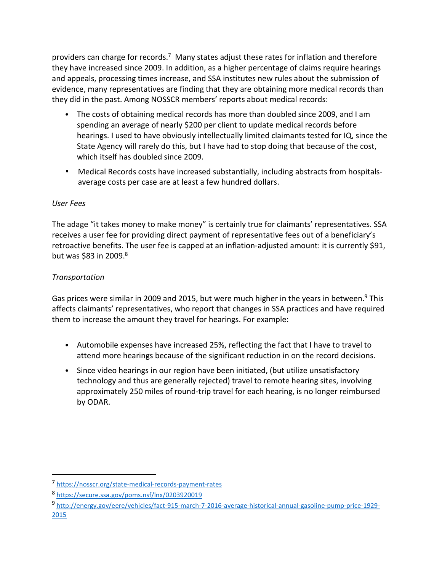providers can charge for records.7 Many states adjust these rates for inflation and therefore they have increased since 2009. In addition, as a higher percentage of claims require hearings and appeals, processing times increase, and SSA institutes new rules about the submission of evidence, many representatives are finding that they are obtaining more medical records than they did in the past. Among NOSSCR members' reports about medical records:

- The costs of obtaining medical records has more than doubled since 2009, and I am spending an average of nearly \$200 per client to update medical records before hearings. I used to have obviously intellectually limited claimants tested for IQ, since the State Agency will rarely do this, but I have had to stop doing that because of the cost, which itself has doubled since 2009.
- Medical Records costs have increased substantially, including abstracts from hospitalsaverage costs per case are at least a few hundred dollars.

## *User Fees*

The adage "it takes money to make money" is certainly true for claimants' representatives. SSA receives a user fee for providing direct payment of representative fees out of a beneficiary's retroactive benefits. The user fee is capped at an inflation-adjusted amount: it is currently \$91, but was \$83 in 2009.8

# *Transportation*

 $\overline{a}$ 

Gas prices were similar in 2009 and 2015, but were much higher in the years in between.<sup>9</sup> This affects claimants' representatives, who report that changes in SSA practices and have required them to increase the amount they travel for hearings. For example:

- Automobile expenses have increased 25%, reflecting the fact that I have to travel to attend more hearings because of the significant reduction in on the record decisions.
- Since video hearings in our region have been initiated, (but utilize unsatisfactory technology and thus are generally rejected) travel to remote hearing sites, involving approximately 250 miles of round-trip travel for each hearing, is no longer reimbursed by ODAR.

<sup>7</sup> <https://nosscr.org/state-medical-records-payment-rates>

<sup>8</sup> <https://secure.ssa.gov/poms.nsf/lnx/0203920019>

<sup>9</sup> [http://energy.gov/eere/vehicles/fact-915-march-7-2016-average-historical-annual-gasoline-pump-price-1929-](http://energy.gov/eere/vehicles/fact-915-march-7-2016-average-historical-annual-gasoline-pump-price-1929-2015) [2015](http://energy.gov/eere/vehicles/fact-915-march-7-2016-average-historical-annual-gasoline-pump-price-1929-2015)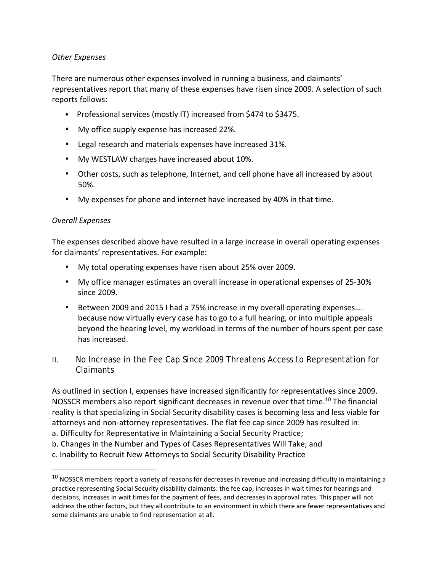#### *Other Expenses*

There are numerous other expenses involved in running a business, and claimants' representatives report that many of these expenses have risen since 2009. A selection of such reports follows:

- Professional services (mostly IT) increased from \$474 to \$3475.
- My office supply expense has increased 22%.
- Legal research and materials expenses have increased 31%.
- My WESTLAW charges have increased about 10%.
- Other costs, such as telephone, Internet, and cell phone have all increased by about 50%.
- My expenses for phone and internet have increased by 40% in that time.

#### *Overall Expenses*

 $\overline{a}$ 

The expenses described above have resulted in a large increase in overall operating expenses for claimants' representatives. For example:

- My total operating expenses have risen about 25% over 2009.
- My office manager estimates an overall increase in operational expenses of 25-30% since 2009.
- Between 2009 and 2015 I had a 75% increase in my overall operating expenses…. because now virtually every case has to go to a full hearing, or into multiple appeals beyond the hearing level, my workload in terms of the number of hours spent per case has increased.
- II. No Increase in the Fee Cap Since 2009 Threatens Access to Representation for Claimants

As outlined in section I, expenses have increased significantly for representatives since 2009. NOSSCR members also report significant decreases in revenue over that time.<sup>10</sup> The financial reality is that specializing in Social Security disability cases is becoming less and less viable for attorneys and non-attorney representatives. The flat fee cap since 2009 has resulted in:

- a. Difficulty for Representative in Maintaining a Social Security Practice;
- b. Changes in the Number and Types of Cases Representatives Will Take; and
- c. Inability to Recruit New Attorneys to Social Security Disability Practice

 $10$  NOSSCR members report a variety of reasons for decreases in revenue and increasing difficulty in maintaining a practice representing Social Security disability claimants: the fee cap, increases in wait times for hearings and decisions, increases in wait times for the payment of fees, and decreases in approval rates. This paper will not address the other factors, but they all contribute to an environment in which there are fewer representatives and some claimants are unable to find representation at all.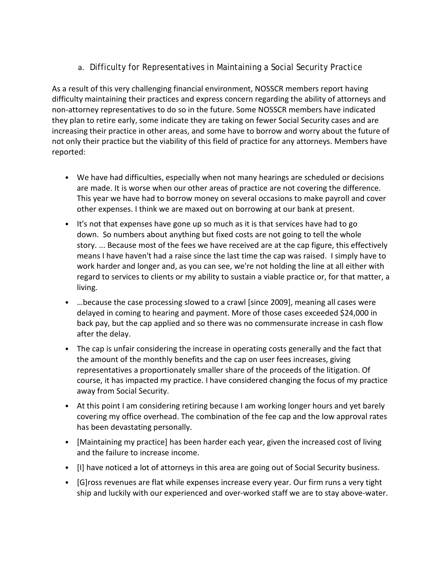a. Difficulty for Representatives in Maintaining a Social Security Practice

As a result of this very challenging financial environment, NOSSCR members report having difficulty maintaining their practices and express concern regarding the ability of attorneys and non-attorney representatives to do so in the future. Some NOSSCR members have indicated they plan to retire early, some indicate they are taking on fewer Social Security cases and are increasing their practice in other areas, and some have to borrow and worry about the future of not only their practice but the viability of this field of practice for any attorneys. Members have reported:

- We have had difficulties, especially when not many hearings are scheduled or decisions are made. It is worse when our other areas of practice are not covering the difference. This year we have had to borrow money on several occasions to make payroll and cover other expenses. I think we are maxed out on borrowing at our bank at present.
- It's not that expenses have gone up so much as it is that services have had to go down. So numbers about anything but fixed costs are not going to tell the whole story. ... Because most of the fees we have received are at the cap figure, this effectively means I have haven't had a raise since the last time the cap was raised. I simply have to work harder and longer and, as you can see, we're not holding the line at all either with regard to services to clients or my ability to sustain a viable practice or, for that matter, a living.
- …because the case processing slowed to a crawl [since 2009], meaning all cases were delayed in coming to hearing and payment. More of those cases exceeded \$24,000 in back pay, but the cap applied and so there was no commensurate increase in cash flow after the delay.
- The cap is unfair considering the increase in operating costs generally and the fact that the amount of the monthly benefits and the cap on user fees increases, giving representatives a proportionately smaller share of the proceeds of the litigation. Of course, it has impacted my practice. I have considered changing the focus of my practice away from Social Security.
- At this point I am considering retiring because I am working longer hours and yet barely covering my office overhead. The combination of the fee cap and the low approval rates has been devastating personally.
- [Maintaining my practice] has been harder each year, given the increased cost of living and the failure to increase income.
- [I] have noticed a lot of attorneys in this area are going out of Social Security business.
- [G]ross revenues are flat while expenses increase every year. Our firm runs a very tight ship and luckily with our experienced and over-worked staff we are to stay above-water.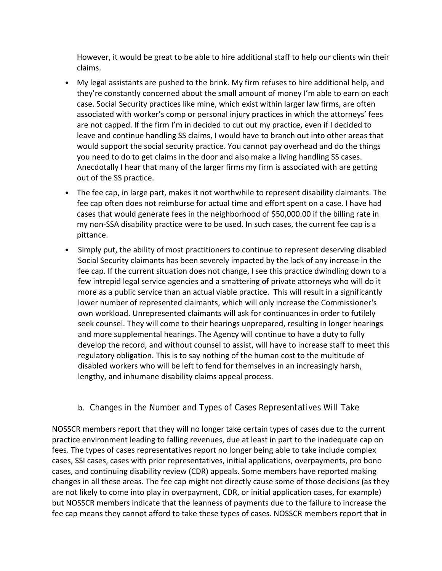However, it would be great to be able to hire additional staff to help our clients win their claims.

- My legal assistants are pushed to the brink. My firm refuses to hire additional help, and they're constantly concerned about the small amount of money I'm able to earn on each case. Social Security practices like mine, which exist within larger law firms, are often associated with worker's comp or personal injury practices in which the attorneys' fees are not capped. If the firm I'm in decided to cut out my practice, even if I decided to leave and continue handling SS claims, I would have to branch out into other areas that would support the social security practice. You cannot pay overhead and do the things you need to do to get claims in the door and also make a living handling SS cases. Anecdotally I hear that many of the larger firms my firm is associated with are getting out of the SS practice.
- The fee cap, in large part, makes it not worthwhile to represent disability claimants. The fee cap often does not reimburse for actual time and effort spent on a case. I have had cases that would generate fees in the neighborhood of \$50,000.00 if the billing rate in my non-SSA disability practice were to be used. In such cases, the current fee cap is a pittance.
- Simply put, the ability of most practitioners to continue to represent deserving disabled Social Security claimants has been severely impacted by the lack of any increase in the fee cap. If the current situation does not change, I see this practice dwindling down to a few intrepid legal service agencies and a smattering of private attorneys who will do it more as a public service than an actual viable practice. This will result in a significantly lower number of represented claimants, which will only increase the Commissioner's own workload. Unrepresented claimants will ask for continuances in order to futilely seek counsel. They will come to their hearings unprepared, resulting in longer hearings and more supplemental hearings. The Agency will continue to have a duty to fully develop the record, and without counsel to assist, will have to increase staff to meet this regulatory obligation. This is to say nothing of the human cost to the multitude of disabled workers who will be left to fend for themselves in an increasingly harsh, lengthy, and inhumane disability claims appeal process.
	- b. Changes in the Number and Types of Cases Representatives Will Take

NOSSCR members report that they will no longer take certain types of cases due to the current practice environment leading to falling revenues, due at least in part to the inadequate cap on fees. The types of cases representatives report no longer being able to take include complex cases, SSI cases, cases with prior representatives, initial applications, overpayments, pro bono cases, and continuing disability review (CDR) appeals. Some members have reported making changes in all these areas. The fee cap might not directly cause some of those decisions (as they are not likely to come into play in overpayment, CDR, or initial application cases, for example) but NOSSCR members indicate that the leanness of payments due to the failure to increase the fee cap means they cannot afford to take these types of cases. NOSSCR members report that in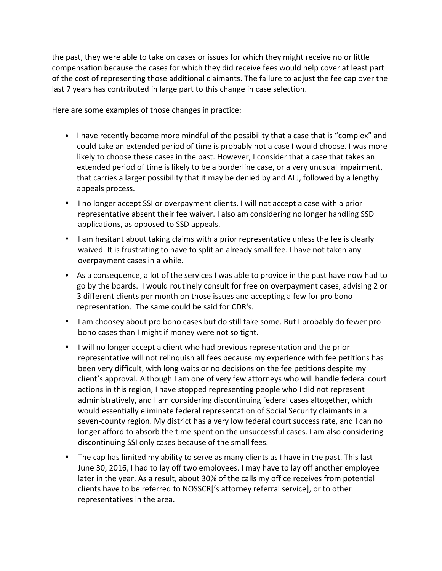the past, they were able to take on cases or issues for which they might receive no or little compensation because the cases for which they did receive fees would help cover at least part of the cost of representing those additional claimants. The failure to adjust the fee cap over the last 7 years has contributed in large part to this change in case selection.

Here are some examples of those changes in practice:

- I have recently become more mindful of the possibility that a case that is "complex" and could take an extended period of time is probably not a case I would choose. I was more likely to choose these cases in the past. However, I consider that a case that takes an extended period of time is likely to be a borderline case, or a very unusual impairment, that carries a larger possibility that it may be denied by and ALJ, followed by a lengthy appeals process.
- I no longer accept SSI or overpayment clients. I will not accept a case with a prior representative absent their fee waiver. I also am considering no longer handling SSD applications, as opposed to SSD appeals.
- I am hesitant about taking claims with a prior representative unless the fee is clearly waived. It is frustrating to have to split an already small fee. I have not taken any overpayment cases in a while.
- As a consequence, a lot of the services I was able to provide in the past have now had to go by the boards. I would routinely consult for free on overpayment cases, advising 2 or 3 different clients per month on those issues and accepting a few for pro bono representation. The same could be said for CDR's.
- I am choosey about pro bono cases but do still take some. But I probably do fewer pro bono cases than I might if money were not so tight.
- I will no longer accept a client who had previous representation and the prior representative will not relinquish all fees because my experience with fee petitions has been very difficult, with long waits or no decisions on the fee petitions despite my client's approval. Although I am one of very few attorneys who will handle federal court actions in this region, I have stopped representing people who I did not represent administratively, and I am considering discontinuing federal cases altogether, which would essentially eliminate federal representation of Social Security claimants in a seven-county region. My district has a very low federal court success rate, and I can no longer afford to absorb the time spent on the unsuccessful cases. I am also considering discontinuing SSI only cases because of the small fees.
- The cap has limited my ability to serve as many clients as I have in the past. This last June 30, 2016, I had to lay off two employees. I may have to lay off another employee later in the year. As a result, about 30% of the calls my office receives from potential clients have to be referred to NOSSCR['s attorney referral service], or to other representatives in the area.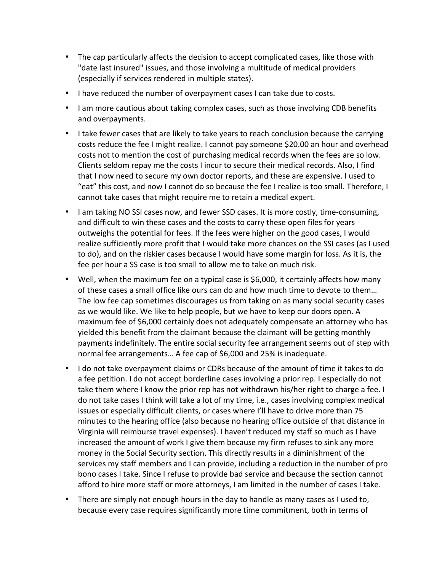- The cap particularly affects the decision to accept complicated cases, like those with "date last insured" issues, and those involving a multitude of medical providers (especially if services rendered in multiple states).
- I have reduced the number of overpayment cases I can take due to costs.
- I am more cautious about taking complex cases, such as those involving CDB benefits and overpayments.
- I take fewer cases that are likely to take years to reach conclusion because the carrying costs reduce the fee I might realize. I cannot pay someone \$20.00 an hour and overhead costs not to mention the cost of purchasing medical records when the fees are so low. Clients seldom repay me the costs I incur to secure their medical records. Also, I find that I now need to secure my own doctor reports, and these are expensive. I used to "eat" this cost, and now I cannot do so because the fee I realize is too small. Therefore, I cannot take cases that might require me to retain a medical expert.
- I am taking NO SSI cases now, and fewer SSD cases. It is more costly, time-consuming, and difficult to win these cases and the costs to carry these open files for years outweighs the potential for fees. If the fees were higher on the good cases, I would realize sufficiently more profit that I would take more chances on the SSI cases (as I used to do), and on the riskier cases because I would have some margin for loss. As it is, the fee per hour a SS case is too small to allow me to take on much risk.
- Well, when the maximum fee on a typical case is \$6,000, it certainly affects how many of these cases a small office like ours can do and how much time to devote to them… The low fee cap sometimes discourages us from taking on as many social security cases as we would like. We like to help people, but we have to keep our doors open. A maximum fee of \$6,000 certainly does not adequately compensate an attorney who has yielded this benefit from the claimant because the claimant will be getting monthly payments indefinitely. The entire social security fee arrangement seems out of step with normal fee arrangements… A fee cap of \$6,000 and 25% is inadequate.
- I do not take overpayment claims or CDRs because of the amount of time it takes to do a fee petition. I do not accept borderline cases involving a prior rep. I especially do not take them where I know the prior rep has not withdrawn his/her right to charge a fee. I do not take cases I think will take a lot of my time, i.e., cases involving complex medical issues or especially difficult clients, or cases where I'll have to drive more than 75 minutes to the hearing office (also because no hearing office outside of that distance in Virginia will reimburse travel expenses). I haven't reduced my staff so much as I have increased the amount of work I give them because my firm refuses to sink any more money in the Social Security section. This directly results in a diminishment of the services my staff members and I can provide, including a reduction in the number of pro bono cases I take. Since I refuse to provide bad service and because the section cannot afford to hire more staff or more attorneys, I am limited in the number of cases I take.
- There are simply not enough hours in the day to handle as many cases as I used to, because every case requires significantly more time commitment, both in terms of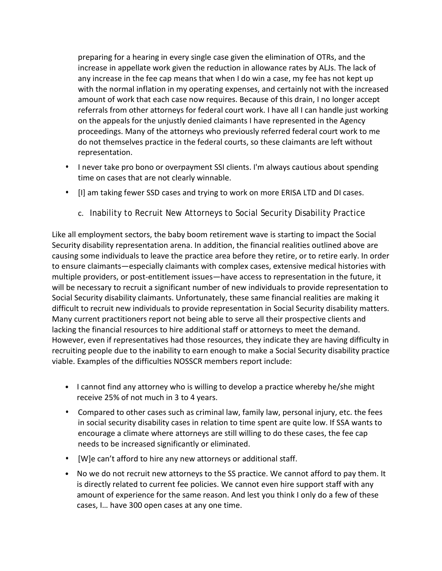preparing for a hearing in every single case given the elimination of OTRs, and the increase in appellate work given the reduction in allowance rates by ALJs. The lack of any increase in the fee cap means that when I do win a case, my fee has not kept up with the normal inflation in my operating expenses, and certainly not with the increased amount of work that each case now requires. Because of this drain, I no longer accept referrals from other attorneys for federal court work. I have all I can handle just working on the appeals for the unjustly denied claimants I have represented in the Agency proceedings. Many of the attorneys who previously referred federal court work to me do not themselves practice in the federal courts, so these claimants are left without representation.

- I never take pro bono or overpayment SSI clients. I'm always cautious about spending time on cases that are not clearly winnable.
- [I] am taking fewer SSD cases and trying to work on more ERISA LTD and DI cases.
	- c. Inability to Recruit New Attorneys to Social Security Disability Practice

Like all employment sectors, the baby boom retirement wave is starting to impact the Social Security disability representation arena. In addition, the financial realities outlined above are causing some individuals to leave the practice area before they retire, or to retire early. In order to ensure claimants—especially claimants with complex cases, extensive medical histories with multiple providers, or post-entitlement issues—have access to representation in the future, it will be necessary to recruit a significant number of new individuals to provide representation to Social Security disability claimants. Unfortunately, these same financial realities are making it difficult to recruit new individuals to provide representation in Social Security disability matters. Many current practitioners report not being able to serve all their prospective clients and lacking the financial resources to hire additional staff or attorneys to meet the demand. However, even if representatives had those resources, they indicate they are having difficulty in recruiting people due to the inability to earn enough to make a Social Security disability practice viable. Examples of the difficulties NOSSCR members report include:

- I cannot find any attorney who is willing to develop a practice whereby he/she might receive 25% of not much in 3 to 4 years.
- Compared to other cases such as criminal law, family law, personal injury, etc. the fees in social security disability cases in relation to time spent are quite low. If SSA wants to encourage a climate where attorneys are still willing to do these cases, the fee cap needs to be increased significantly or eliminated.
- [W]e can't afford to hire any new attorneys or additional staff.
- No we do not recruit new attorneys to the SS practice. We cannot afford to pay them. It is directly related to current fee policies. We cannot even hire support staff with any amount of experience for the same reason. And lest you think I only do a few of these cases, I… have 300 open cases at any one time.